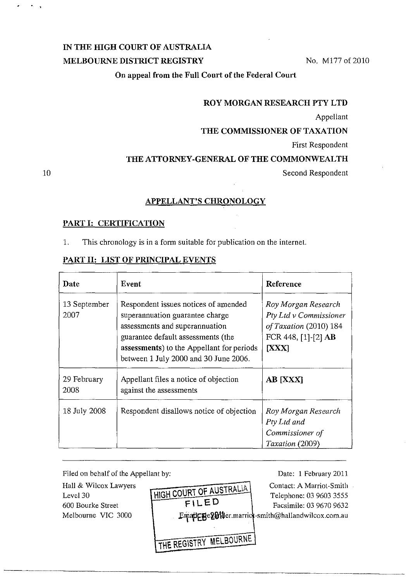# IN THE HIGH COURT OF AUSTRALIA

### MELBOURNE DISTRICT REGISTRY No. M177 of 2010

On appeal from the Full Court of the Federal Court

#### ROY MORGAN RESEARCH PTY LTD

Appellant

### THE COMMISSIONER OF TAXATION

First Respondent

### THE ATTORNEY-GENERAL OF THE COMMONWEALTH

Second Respondent

## APPELLANT'S CHRONOLOGY

#### PART I: CERTIFICATION

10

 $\mathbf{A}=\mathbf{A}$ 

1. This chronology is in a form suitable for publication on the internet.

#### PART II: LIST OF PRINCIPAL EVENTS

| Date                 | Event                                                                                                                                                                                                                                 | Reference                                                                                                              |
|----------------------|---------------------------------------------------------------------------------------------------------------------------------------------------------------------------------------------------------------------------------------|------------------------------------------------------------------------------------------------------------------------|
| 13 September<br>2007 | Respondent issues notices of amended<br>superannuation guarantee charge<br>assessments and superannuation<br>guarantee default assessments (the<br>assessments) to the Appellant for periods<br>between 1 July 2000 and 30 June 2006. | Roy Morgan Research<br>Pty Ltd v Commissioner<br>of Taxation (2010) 184<br>FCR 448, $[1]$ - $[2]$ AB<br>[ <b>XXX</b> ] |
| 29 February<br>2008  | Appellant files a notice of objection<br>against the assessments                                                                                                                                                                      | <b>AB [XXX]</b>                                                                                                        |
| 18 July 2008         | Respondent disallows notice of objection                                                                                                                                                                                              | Roy Morgan Research<br>Pty Ltd and<br>Commissioner of<br>Taxation (2009)                                               |

Filed on behalf of the Appellant by: Hall & Wilcox Lawyers Level 30 HIGH COURT OF AUSTRALIA FILED Date: 1 February 2011 Contact: A Marriol-Smith Telephone: 03 9603 3555 600 Bourke Street  $\left\{\n \begin{array}{ccc}\n \uparrow & \downarrow & \downarrow \\
\downarrow & \downarrow & \downarrow \\
\downarrow & \downarrow & \downarrow\n \end{array}\n \right.$  Facsimile: 03 9670 9632 Melbourne VIC 3000 Emailene Ethnolder.marric -smith@hallandwilcox.com.au

THE REGISTRY MELBOURNE